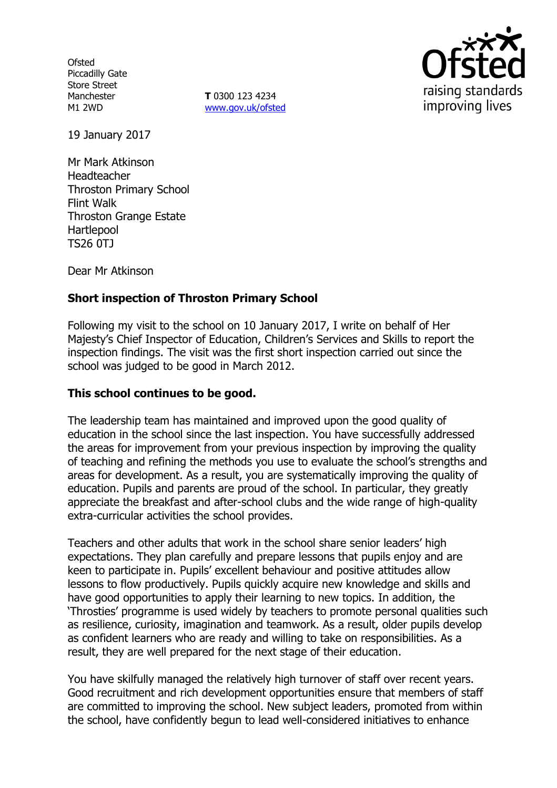**Ofsted** Piccadilly Gate Store Street Manchester M1 2WD

**T** 0300 123 4234 www.gov.uk/ofsted



19 January 2017

Mr Mark Atkinson Headteacher Throston Primary School Flint Walk Throston Grange Estate Hartlepool TS26 0TJ

Dear Mr Atkinson

# **Short inspection of Throston Primary School**

Following my visit to the school on 10 January 2017, I write on behalf of Her Majesty's Chief Inspector of Education, Children's Services and Skills to report the inspection findings. The visit was the first short inspection carried out since the school was judged to be good in March 2012.

### **This school continues to be good.**

The leadership team has maintained and improved upon the good quality of education in the school since the last inspection. You have successfully addressed the areas for improvement from your previous inspection by improving the quality of teaching and refining the methods you use to evaluate the school's strengths and areas for development. As a result, you are systematically improving the quality of education. Pupils and parents are proud of the school. In particular, they greatly appreciate the breakfast and after-school clubs and the wide range of high-quality extra-curricular activities the school provides.

Teachers and other adults that work in the school share senior leaders' high expectations. They plan carefully and prepare lessons that pupils enjoy and are keen to participate in. Pupils' excellent behaviour and positive attitudes allow lessons to flow productively. Pupils quickly acquire new knowledge and skills and have good opportunities to apply their learning to new topics. In addition, the 'Throsties' programme is used widely by teachers to promote personal qualities such as resilience, curiosity, imagination and teamwork. As a result, older pupils develop as confident learners who are ready and willing to take on responsibilities. As a result, they are well prepared for the next stage of their education.

You have skilfully managed the relatively high turnover of staff over recent years. Good recruitment and rich development opportunities ensure that members of staff are committed to improving the school. New subject leaders, promoted from within the school, have confidently begun to lead well-considered initiatives to enhance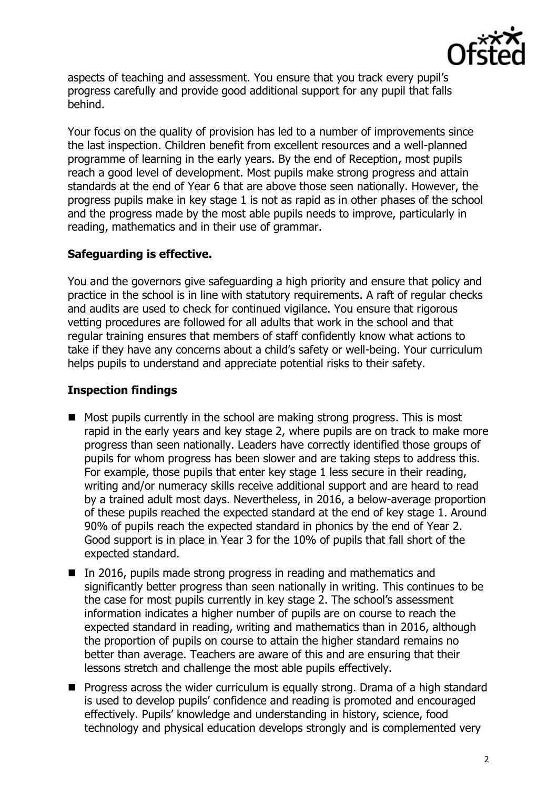

aspects of teaching and assessment. You ensure that you track every pupil's progress carefully and provide good additional support for any pupil that falls behind.

Your focus on the quality of provision has led to a number of improvements since the last inspection. Children benefit from excellent resources and a well-planned programme of learning in the early years. By the end of Reception, most pupils reach a good level of development. Most pupils make strong progress and attain standards at the end of Year 6 that are above those seen nationally. However, the progress pupils make in key stage 1 is not as rapid as in other phases of the school and the progress made by the most able pupils needs to improve, particularly in reading, mathematics and in their use of grammar.

# **Safeguarding is effective.**

You and the governors give safeguarding a high priority and ensure that policy and practice in the school is in line with statutory requirements. A raft of regular checks and audits are used to check for continued vigilance. You ensure that rigorous vetting procedures are followed for all adults that work in the school and that regular training ensures that members of staff confidently know what actions to take if they have any concerns about a child's safety or well-being. Your curriculum helps pupils to understand and appreciate potential risks to their safety.

## **Inspection findings**

- $\blacksquare$  Most pupils currently in the school are making strong progress. This is most rapid in the early years and key stage 2, where pupils are on track to make more progress than seen nationally. Leaders have correctly identified those groups of pupils for whom progress has been slower and are taking steps to address this. For example, those pupils that enter key stage 1 less secure in their reading, writing and/or numeracy skills receive additional support and are heard to read by a trained adult most days. Nevertheless, in 2016, a below-average proportion of these pupils reached the expected standard at the end of key stage 1. Around 90% of pupils reach the expected standard in phonics by the end of Year 2. Good support is in place in Year 3 for the 10% of pupils that fall short of the expected standard.
- In 2016, pupils made strong progress in reading and mathematics and significantly better progress than seen nationally in writing. This continues to be the case for most pupils currently in key stage 2. The school's assessment information indicates a higher number of pupils are on course to reach the expected standard in reading, writing and mathematics than in 2016, although the proportion of pupils on course to attain the higher standard remains no better than average. Teachers are aware of this and are ensuring that their lessons stretch and challenge the most able pupils effectively.
- **Progress across the wider curriculum is equally strong. Drama of a high standard**  $\blacksquare$ is used to develop pupils' confidence and reading is promoted and encouraged effectively. Pupils' knowledge and understanding in history, science, food technology and physical education develops strongly and is complemented very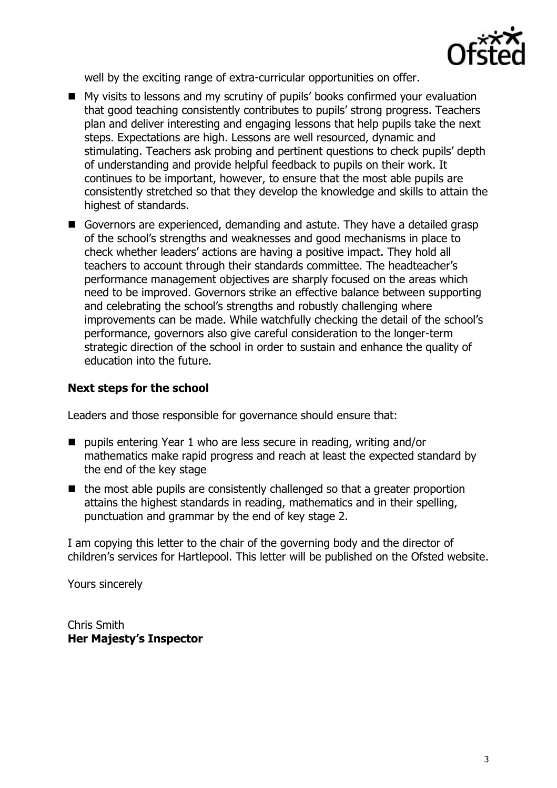

well by the exciting range of extra-curricular opportunities on offer.

- My visits to lessons and my scrutiny of pupils' books confirmed your evaluation that good teaching consistently contributes to pupils' strong progress. Teachers plan and deliver interesting and engaging lessons that help pupils take the next steps. Expectations are high. Lessons are well resourced, dynamic and stimulating. Teachers ask probing and pertinent questions to check pupils' depth of understanding and provide helpful feedback to pupils on their work. It continues to be important, however, to ensure that the most able pupils are consistently stretched so that they develop the knowledge and skills to attain the highest of standards.
- Governors are experienced, demanding and astute. They have a detailed grasp of the school's strengths and weaknesses and good mechanisms in place to check whether leaders' actions are having a positive impact. They hold all teachers to account through their standards committee. The headteacher's performance management objectives are sharply focused on the areas which need to be improved. Governors strike an effective balance between supporting and celebrating the school's strengths and robustly challenging where improvements can be made. While watchfully checking the detail of the school's performance, governors also give careful consideration to the longer-term strategic direction of the school in order to sustain and enhance the quality of education into the future.

### **Next steps for the school**

Leaders and those responsible for governance should ensure that:

- pupils entering Year 1 who are less secure in reading, writing and/or mathematics make rapid progress and reach at least the expected standard by the end of the key stage
- $\blacksquare$  the most able pupils are consistently challenged so that a greater proportion attains the highest standards in reading, mathematics and in their spelling, punctuation and grammar by the end of key stage 2.

I am copying this letter to the chair of the governing body and the director of children's services for Hartlepool. This letter will be published on the Ofsted website.

Yours sincerely

Chris Smith **Her Majesty's Inspector**